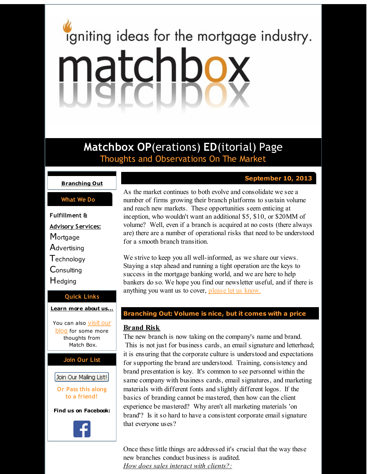# <span id="page-0-0"></span>igniting ideas for the mortgage industry. matchbox

**Matchbox OP**(erations) **ED**(itorial) Page Thoughts and Observations On The Market

### **[Branching](#page-0-0) Out**

### **What We Do**

**Fulfillment & Advisory Services: Mortgage Advertising Technology Consulting H**edging

## **Quick Links**

**[Learn](http://r20.rs6.net/tn.jsp?f=0014qa1rr2-T81LTlaaZGdE2QdKmJ943jI_npjoyEQKePeN6v7Vthn7oz8pVd_AMd-YngwyVz3lgot8pHV2-Sb4hLckY-TndS-E1kulob3Fg-TXnlthfOTzvpL3w6aZjnFUNWhucXZ96aLREiQn70KOU9rhY0MpE77zdDTBGZ4In6LXTwVcc8eGww==&c=&ch=) more about u[s...](http://r20.rs6.net/tn.jsp?f=0014qa1rr2-T81LTlaaZGdE2QdKmJ943jI_npjoyEQKePeN6v7Vthn7oz8pVd_AMd-YngwyVz3lgot8pHV2-Sb4hLckY-TndS-E1kulob3Fg-TXnlthfOTzvpL3w6aZjnFUNWhucXZ96aLREiQn70KOU9rhY0MpE77zdDTBGZ4In6LXTwVcc8eGww==&c=&ch=)**

You can also visit our [blog](http://r20.rs6.net/tn.jsp?f=0014qa1rr2-T81LTlaaZGdE2QdKmJ943jI_npjoyEQKePeN6v7Vthn7oxE52bWh9PVPfrUWahl-lH9uvT3FuNYvBgaAAj4HL4tunOVFE3hEmXEXWRw5prVnr0uAeINN7nnLKov7Tyjs2ctRBw1JiWSgdWOMSX8vktEA8AkZh92dSbSqQ1c68Phv-Pdk5rDFOL1G&c=&ch=) for some more thoughts from Match Box.

**Join Our List**

# Join Our Mailing List!

**Or Pass this along to a friend!**

**Find us on Facebook:**



## **September 10, 2013**

As the market continues to both evolve and consolidate we see a number of firms growing their branch platforms to sustain volume and reach new markets. These opportunities seem enticing at inception, who wouldn't want an additional \$5, \$10, or \$20MM of volume? Well, even if a branch is acquired at no costs (there always are) there are a number of operational risks that need to be understood for a smooth branch transition.

We strive to keep you all well-informed, as we share our views. Staying a step ahead and running a tight operation are the keys to success in the mortgage banking world, and we are here to help bankers do so. We hope you find our newsletter useful, and if there is anything you want us to cover, [please](http://r20.rs6.net/tn.jsp?f=0014qa1rr2-T81LTlaaZGdE2QdKmJ943jI_npjoyEQKePeN6v7Vthn7oxE52bWh9PVPNWe6bZF83c6IFVIAr61u1oPbRfRXyL00tabW7nHU5juyM2vQeQEuOqKJ4V_za82M88_tGAVMz78zVF8jJRxevqc2VV9sSUSLYZm_XrnRr4-LCp2CGKpt1OTnj_lQUwTN&c=&ch=) let us know.

## **Branching Out: Volume is nice, but it comes with a price**

# **Brand Risk**

The new branch is now taking on the company's name and brand. This is not just for business cards, an email signature and letterhead; it is ensuring that the corporate culture is understood and expectations for supporting the brand are understood. Training, consistency and brand presentation is key. It's common to see personnel within the same company with business cards, email signatures, and marketing materials with different fonts and slightly different logos. If the basics of branding cannot be mastered, then how can the client experience be mastered? Why aren't all marketing materials 'on brand'? Is it so hard to have a consistent corporate email signature that everyone uses?

Once these little things are addressed it's crucial that the way these new branches conduct business is audited. *How does sales interact with clients?:*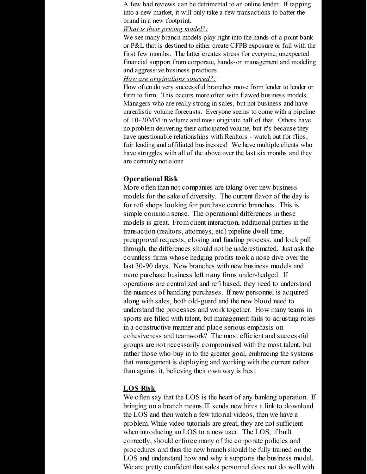A few bad reviews can be detrimental to an online lender. If tapping into a new market, it will only take a few transactions to batter the brand in a new footprint.

### *What is their pricing model?:*

We see many branch models play right into the hands of a point bank or P&L that is destined to either create CFPB exposure or fail with the first few months. The latter creates stress for everyone, unexpected financial support from corporate, hands-on management and modeling and aggressive business practices.

### *How are originations sourced?:*

How often do very successful branches move from lender to lender or firm to firm. This occurs more often with flawed business models. Managers who are really strong in sales, but not business and have unrealistic volume forecasts. Everyone seems to come with a pipeline of 10-20MM in volume and most originate half of that. Others have no problem delivering their anticipated volume, but it's because they have questionable relationships with Realtors - watch out for flips, fair lending and affiliated businesses! We have multiple clients who have struggles with all of the above over the last six months and they are certainly not alone.

# **Operational Risk**

More often than not companies are taking over new business models for the sake of diversity. The current flavor of the day is for refi shops looking for purchase centric branches. This is simple common sense. The operational differences in these models is great. From client interaction, additional parties in the transaction (realtors, attorneys, etc) pipeline dwell time, preapproval requests, closing and funding process, and lock pull through, the differences should not be underestimated. Just ask the countless firms whose hedging profits took a nose dive over the last 30-90 days. New branches with new business models and more purchase business left many firms under-hedged. If operations are centralized and refi based, they need to understand the nuances of handling purchases. If new personnel is acquired along with sales, both old-guard and the new blood need to understand the processes and work together. How many teams in sports are filled with talent, but management fails to adjusting roles in a constructive manner and place serious emphasis on cohesiveness and teamwork? The most efficient and successful groups are not necessarily compromised with the most talent, but rather those who buy in to the greater goal, embracing the systems that management is deploying and working with the current rather than against it, believing their own way is best.

# **LOS Risk**

We often say that the LOS is the heart of any banking operation. If bringing on a branch means IT sends new hires a link to download the LOS and then watch a few tutorial videos, then we have a problem. While video tutorials are great, they are not sufficient when introducing an LOS to a new user. The LOS, if built correctly, should enforce many of the corporate policies and procedures and thus the new branch should be fully trained on the LOS and understand how and why it supports the business model. We are pretty confident that sales personnel does not do well with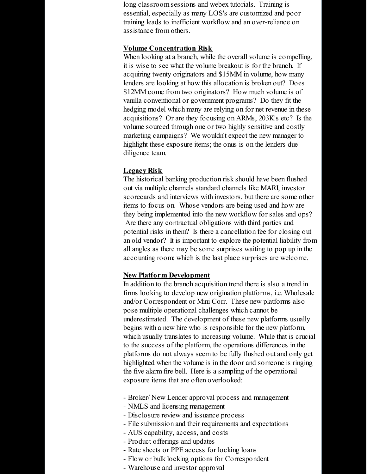long classroom sessions and webex tutorials. Training is essential, especially as many LOS's are customized and poor training leads to inefficient workflow and an over-reliance on assistance from others.

### **Volume Concentration Risk**

When looking at a branch, while the overall volume is compelling, it is wise to see what the volume breakout is for the branch. If acquiring twenty originators and \$15MM in volume, how many lenders are looking at how this allocation is broken out? Does \$12MM come from two originators? How much volume is of vanilla conventional or government programs? Do they fit the hedging model which many are relying on for net revenue in these acquisitions? Or are they focusing on ARMs, 203K's etc? Is the volume sourced through one or two highly sensitive and costly marketing campaigns? We wouldn't expect the new manager to highlight these exposure items; the onus is on the lenders due diligence team.

### **Legacy Risk**

The historical banking production risk should have been flushed out via multiple channels standard channels like MARI, investor scorecards and interviews with investors, but there are some other items to focus on. Whose vendors are being used and how are they being implemented into the new workflow for sales and ops? Are there any contractual obligations with third parties and potential risks in them? Is there a cancellation fee for closing out an old vendor? It is important to explore the potential liability from all angles as there may be some surprises waiting to pop up in the accounting room; which is the last place surprises are welcome.

### **New Platform Development**

In addition to the branch acquisition trend there is also a trend in firms looking to develop new origination platforms, i.e. Wholesale and/or Correspondent or Mini Corr. These new platforms also pose multiple operational challenges which cannot be underestimated. The development of these new platforms usually begins with a new hire who is responsible for the new platform, which usually translates to increasing volume. While that is crucial to the success of the platform, the operations differences in the platforms do not always seem to be fully flushed out and only get highlighted when the volume is in the door and someone is ringing the five alarm fire bell. Here is a sampling of the operational exposure items that are often overlooked:

- Broker/ New Lender approval process and management
- NMLS and licensing management
- Disclosure review and issuance process
- File submission and their requirements and expectations
- AUS capability, access, and costs
- Product offerings and updates
- Rate sheets or PPE access for locking loans
- Flow or bulk locking options for Correspondent
- Warehouse and investor approval